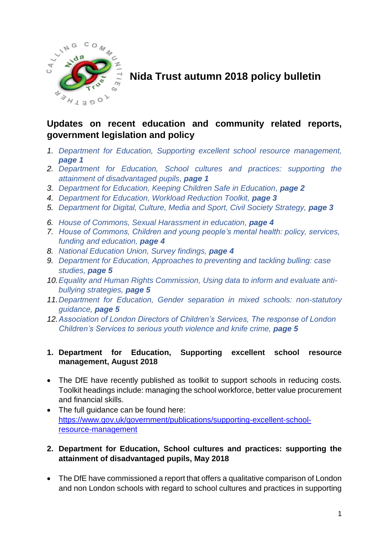

# **Nida Trust autumn 2018 policy bulletin**

## **Updates on recent education and community related reports, government legislation and policy**

- *1. Department for Education, Supporting excellent school resource management, page 1*
- *2. Department for Education, School cultures and practices: supporting the attainment of disadvantaged pupils, page 1*
- *3. Department for Education, Keeping Children Safe in Education, page 2*
- *4. Department for Education, Workload Reduction Toolkit, page 3*
- *5. Department for Digital, Culture, Media and Sport, Civil Society Strategy, page 3*
- *6. House of Commons, Sexual Harassment in education, page 4*
- *7. House of Commons, Children and young people's mental health: policy, services, funding and education, page 4*
- *8. National Education Union, Survey findings, page 4*
- *9. Department for Education, Approaches to preventing and tackling bulling: case studies, page 5*
- *10.Equality and Human Rights Commission, Using data to inform and evaluate antibullying strategies, page 5*
- *11.Department for Education, Gender separation in mixed schools: non-statutory guidance, page 5*
- *12.Association of London Directors of Children's Services, The response of London Children's Services to serious youth violence and knife crime, page 5*

#### **1. Department for Education, Supporting excellent school resource management, August 2018**

- The DfE have recently published as toolkit to support schools in reducing costs. Toolkit headings include: managing the school workforce, better value procurement and financial skills.
- The full quidance can be found here: [https://www.gov.uk/government/publications/supporting-excellent-school](https://www.gov.uk/government/publications/supporting-excellent-school-resource-management)[resource-management](https://www.gov.uk/government/publications/supporting-excellent-school-resource-management)

#### **2. Department for Education, School cultures and practices: supporting the attainment of disadvantaged pupils, May 2018**

• The DfE have commissioned a report that offers a qualitative comparison of London and non London schools with regard to school cultures and practices in supporting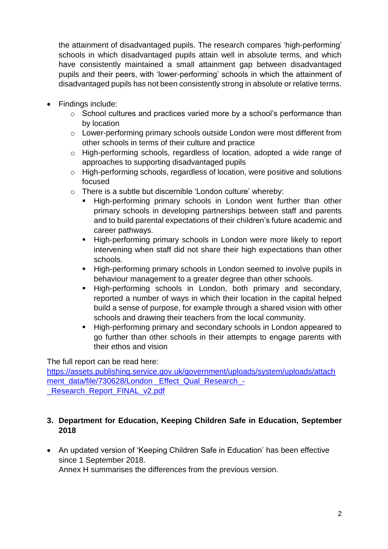the attainment of disadvantaged pupils. The research compares 'high-performing' schools in which disadvantaged pupils attain well in absolute terms, and which have consistently maintained a small attainment gap between disadvantaged pupils and their peers, with 'lower-performing' schools in which the attainment of disadvantaged pupils has not been consistently strong in absolute or relative terms.

- Findings include:
	- o School cultures and practices varied more by a school's performance than by location
	- o Lower-performing primary schools outside London were most different from other schools in terms of their culture and practice
	- o High-performing schools, regardless of location, adopted a wide range of approaches to supporting disadvantaged pupils
	- o High-performing schools, regardless of location, were positive and solutions focused
	- o There is a subtle but discernible 'London culture' whereby:
		- High-performing primary schools in London went further than other primary schools in developing partnerships between staff and parents and to build parental expectations of their children's future academic and career pathways.
		- High-performing primary schools in London were more likely to report intervening when staff did not share their high expectations than other schools.
		- High-performing primary schools in London seemed to involve pupils in behaviour management to a greater degree than other schools.
		- High-performing schools in London, both primary and secondary, reported a number of ways in which their location in the capital helped build a sense of purpose, for example through a shared vision with other schools and drawing their teachers from the local community.
		- **High-performing primary and secondary schools in London appeared to** go further than other schools in their attempts to engage parents with their ethos and vision

The full report can be read here:

[https://assets.publishing.service.gov.uk/government/uploads/system/uploads/attach](https://assets.publishing.service.gov.uk/government/uploads/system/uploads/attachment_data/file/730628/London%20_Effect_Qual_Research_-_Research_Report_FINAL_v2.pdf) [ment\\_data/file/730628/London \\_Effect\\_Qual\\_Research\\_-](https://assets.publishing.service.gov.uk/government/uploads/system/uploads/attachment_data/file/730628/London%20_Effect_Qual_Research_-_Research_Report_FINAL_v2.pdf) Research\_Report\_FINAL\_v2.pdf

### **3. Department for Education, Keeping Children Safe in Education, September 2018**

 An updated version of 'Keeping Children Safe in Education' has been effective since 1 September 2018.

Annex H summarises the differences from the previous version.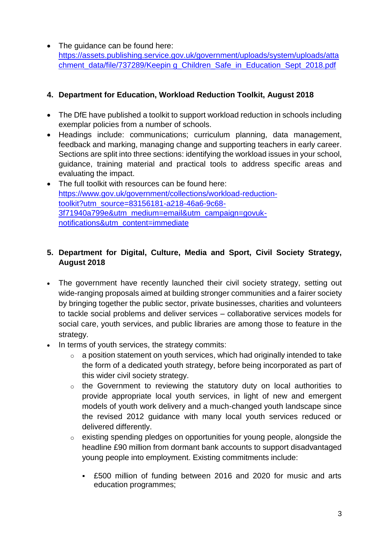• The quidance can be found here: [https://assets.publishing.service.gov.uk/government/uploads/system/uploads/atta](https://assets.publishing.service.gov.uk/government/uploads/system/uploads/attachment_data/file/737289/Keepin%20g_Children_Safe_in_Education_Sept_2018.pdf) [chment\\_data/file/737289/Keepin g\\_Children\\_Safe\\_in\\_Education\\_Sept\\_2018.pdf](https://assets.publishing.service.gov.uk/government/uploads/system/uploads/attachment_data/file/737289/Keepin%20g_Children_Safe_in_Education_Sept_2018.pdf)

## **4. Department for Education, Workload Reduction Toolkit, August 2018**

- The DfE have published a toolkit to support workload reduction in schools including exemplar policies from a number of schools.
- Headings include: communications; curriculum planning, data management, feedback and marking, managing change and supporting teachers in early career. Sections are split into three sections: identifying the workload issues in your school, guidance, training material and practical tools to address specific areas and evaluating the impact.
- The full toolkit with resources can be found here: [https://www.gov.uk/government/collections/workload-reduction](https://www.gov.uk/government/collections/workload-reduction-toolkit?utm_source=83156181-a218-46a6-9c68-3f71940a799e&utm_medium=email&utm_campaign=govuk-notifications&utm_content=immediate)[toolkit?utm\\_source=83156181-a218-46a6-9c68-](https://www.gov.uk/government/collections/workload-reduction-toolkit?utm_source=83156181-a218-46a6-9c68-3f71940a799e&utm_medium=email&utm_campaign=govuk-notifications&utm_content=immediate) [3f71940a799e&utm\\_medium=email&utm\\_campaign=govuk](https://www.gov.uk/government/collections/workload-reduction-toolkit?utm_source=83156181-a218-46a6-9c68-3f71940a799e&utm_medium=email&utm_campaign=govuk-notifications&utm_content=immediate)[notifications&utm\\_content=immediate](https://www.gov.uk/government/collections/workload-reduction-toolkit?utm_source=83156181-a218-46a6-9c68-3f71940a799e&utm_medium=email&utm_campaign=govuk-notifications&utm_content=immediate)

## **5. Department for Digital, Culture, Media and Sport, Civil Society Strategy, August 2018**

- The government have recently launched their civil society strategy, setting out wide-ranging proposals aimed at building stronger communities and a fairer society by bringing together the public sector, private businesses, charities and volunteers to tackle social problems and deliver services – collaborative services models for social care, youth services, and public libraries are among those to feature in the strategy.
- In terms of youth services, the strategy commits:
	- $\circ$  a position statement on youth services, which had originally intended to take the form of a dedicated youth strategy, before being incorporated as part of this wider civil society strategy.
	- $\circ$  the Government to reviewing the statutory duty on local authorities to provide appropriate local youth services, in light of new and emergent models of youth work delivery and a much-changed youth landscape since the revised 2012 guidance with many local youth services reduced or delivered differently.
	- o existing spending pledges on opportunities for young people, alongside the headline £90 million from dormant bank accounts to support disadvantaged young people into employment. Existing commitments include:
		- £500 million of funding between 2016 and 2020 for music and arts education programmes;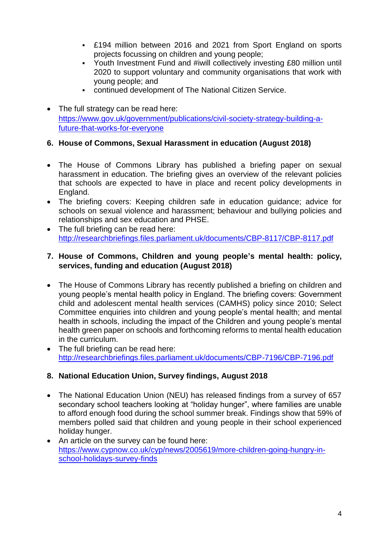- £194 million between 2016 and 2021 from Sport England on sports projects focussing on children and young people;
- Youth Investment Fund and #iwill collectively investing £80 million until 2020 to support voluntary and community organisations that work with young people; and
- continued development of The National Citizen Service.
- The full strategy can be read here: [https://www.gov.uk/government/publications/civil-society-strategy-building-a](https://www.gov.uk/government/publications/civil-society-strategy-building-a-future-that-works-for-everyone)[future-that-works-for-everyone](https://www.gov.uk/government/publications/civil-society-strategy-building-a-future-that-works-for-everyone)

## **6. House of Commons, Sexual Harassment in education (August 2018)**

- The House of Commons Library has published a briefing paper on sexual harassment in education. The briefing gives an overview of the relevant policies that schools are expected to have in place and recent policy developments in England.
- The briefing covers: Keeping children safe in education guidance; advice for schools on sexual violence and harassment; behaviour and bullying policies and relationships and sex education and PHSE.
- The full briefing can be read here: <http://researchbriefings.files.parliament.uk/documents/CBP-8117/CBP-8117.pdf>

#### **7. House of Commons, Children and young people's mental health: policy, services, funding and education (August 2018)**

- The House of Commons Library has recently published a briefing on children and young people's mental health policy in England. The briefing covers: Government child and adolescent mental health services (CAMHS) policy since 2010; Select Committee enquiries into children and young people's mental health; and mental health in schools, including the impact of the Children and young people's mental health green paper on schools and forthcoming reforms to mental health education in the curriculum.
- The full briefing can be read here: <http://researchbriefings.files.parliament.uk/documents/CBP-7196/CBP-7196.pdf>

## **8. National Education Union, Survey findings, August 2018**

- The National Education Union (NEU) has released findings from a survey of 657 secondary school teachers looking at "holiday hunger", where families are unable to afford enough food during the school summer break. Findings show that 59% of members polled said that children and young people in their school experienced holiday hunger.
- An article on the survey can be found here: [https://www.cypnow.co.uk/cyp/news/2005619/more-children-going-hungry-in](https://www.cypnow.co.uk/cyp/news/2005619/more-children-going-hungry-in-school-holidays-survey-finds)[school-holidays-survey-finds](https://www.cypnow.co.uk/cyp/news/2005619/more-children-going-hungry-in-school-holidays-survey-finds)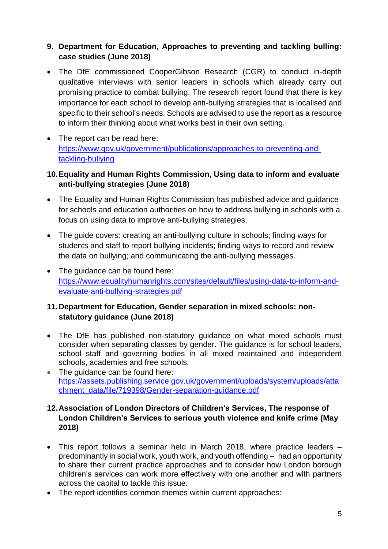#### **9. Department for Education, Approaches to preventing and tackling bulling: case studies (June 2018)**

- The DfE commissioned CooperGibson Research (CGR) to conduct in-depth qualitative interviews with senior leaders in schools which already carry out promising practice to combat bullying. The research report found that there is key importance for each school to develop anti-bullying strategies that is localised and specific to their school's needs. Schools are advised to use the report as a resource to inform their thinking about what works best in their own setting.
- The report can be read here: [https://www.gov.uk/government/publications/approaches-to-preventing-and](https://www.gov.uk/government/publications/approaches-to-preventing-and-tackling-bullying)[tackling-bullying](https://www.gov.uk/government/publications/approaches-to-preventing-and-tackling-bullying)

#### **10.Equality and Human Rights Commission, Using data to inform and evaluate anti-bullying strategies (June 2018)**

- The Equality and Human Rights Commission has published advice and guidance for schools and education authorities on how to address bullying in schools with a focus on using data to improve anti-bullying strategies.
- The guide covers: creating an anti-bullying culture in schools; finding ways for students and staff to report bullying incidents; finding ways to record and review the data on bullying; and communicating the anti-bullying messages.
- The quidance can be found here: [https://www.equalityhumanrights.com/sites/default/files/using-data-to-inform-and](https://www.equalityhumanrights.com/sites/default/files/using-data-to-inform-and-evaluate-anti-bullying-strategies.pdf)[evaluate-anti-bullying-strategies.pdf](https://www.equalityhumanrights.com/sites/default/files/using-data-to-inform-and-evaluate-anti-bullying-strategies.pdf)

### **11.Department for Education, Gender separation in mixed schools: nonstatutory guidance (June 2018)**

- The DfE has published non-statutory quidance on what mixed schools must consider when separating classes by gender. The guidance is for school leaders, school staff and governing bodies in all mixed maintained and independent schools, academies and free schools.
- The quidance can be found here: [https://assets.publishing.service.gov.uk/government/uploads/system/uploads/atta](https://assets.publishing.service.gov.uk/government/uploads/system/uploads/attachment_data/file/719398/Gender-separation-guidance.pdf) [chment\\_data/file/719398/Gender-separation-guidance.pdf](https://assets.publishing.service.gov.uk/government/uploads/system/uploads/attachment_data/file/719398/Gender-separation-guidance.pdf)

#### **12.Association of London Directors of Children's Services, The response of London Children's Services to serious youth violence and knife crime (May 2018)**

- This report follows a seminar held in March 2018, where practice leaders predominantly in social work, youth work, and youth offending – had an opportunity to share their current practice approaches and to consider how London borough children's services can work more effectively with one another and with partners across the capital to tackle this issue.
- The report identifies common themes within current approaches: